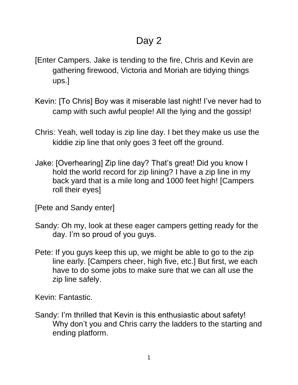- [Enter Campers. Jake is tending to the fire, Chris and Kevin are gathering firewood, Victoria and Moriah are tidying things ups.]
- Kevin: [To Chris] Boy was it miserable last night! I've never had to camp with such awful people! All the lying and the gossip!
- Chris: Yeah, well today is zip line day. I bet they make us use the kiddie zip line that only goes 3 feet off the ground.
- Jake: [Overhearing] Zip line day? That's great! Did you know I hold the world record for zip lining? I have a zip line in my back yard that is a mile long and 1000 feet high! [Campers roll their eyes]
- [Pete and Sandy enter]
- Sandy: Oh my, look at these eager campers getting ready for the day. I'm so proud of you guys.
- Pete: If you guys keep this up, we might be able to go to the zip line early. [Campers cheer, high five, etc.] But first, we each have to do some jobs to make sure that we can all use the zip line safely.

Kevin: Fantastic.

Sandy: I'm thrilled that Kevin is this enthusiastic about safety! Why don't you and Chris carry the ladders to the starting and ending platform.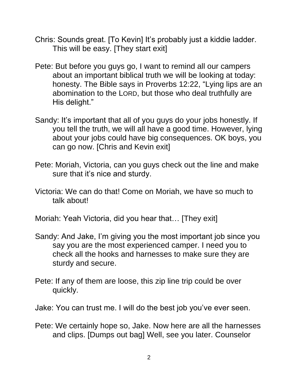- Chris: Sounds great. [To Kevin] It's probably just a kiddie ladder. This will be easy. [They start exit]
- Pete: But before you guys go, I want to remind all our campers about an important biblical truth we will be looking at today: honesty. The Bible says in Proverbs 12:22, "Lying lips are an abomination to the LORD, but those who deal truthfully are His delight."
- Sandy: It's important that all of you guys do your jobs honestly. If you tell the truth, we will all have a good time. However, lying about your jobs could have big consequences. OK boys, you can go now. [Chris and Kevin exit]
- Pete: Moriah, Victoria, can you guys check out the line and make sure that it's nice and sturdy.
- Victoria: We can do that! Come on Moriah, we have so much to talk about!
- Moriah: Yeah Victoria, did you hear that… [They exit]
- Sandy: And Jake, I'm giving you the most important job since you say you are the most experienced camper. I need you to check all the hooks and harnesses to make sure they are sturdy and secure.
- Pete: If any of them are loose, this zip line trip could be over quickly.
- Jake: You can trust me. I will do the best job you've ever seen.
- Pete: We certainly hope so, Jake. Now here are all the harnesses and clips. [Dumps out bag] Well, see you later. Counselor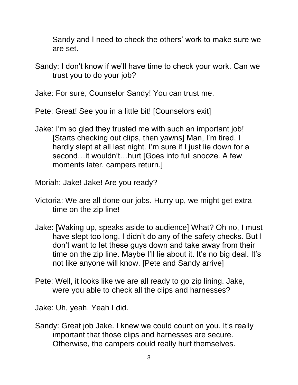Sandy and I need to check the others' work to make sure we are set.

Sandy: I don't know if we'll have time to check your work. Can we trust you to do your job?

Jake: For sure, Counselor Sandy! You can trust me.

Pete: Great! See you in a little bit! [Counselors exit]

Jake: I'm so glad they trusted me with such an important job! [Starts checking out clips, then yawns] Man, I'm tired. I hardly slept at all last night. I'm sure if I just lie down for a second... it wouldn't... hurt [Goes into full snooze. A few moments later, campers return.]

Moriah: Jake! Jake! Are you ready?

- Victoria: We are all done our jobs. Hurry up, we might get extra time on the zip line!
- Jake: [Waking up, speaks aside to audience] What? Oh no, I must have slept too long. I didn't do any of the safety checks. But I don't want to let these guys down and take away from their time on the zip line. Maybe I'll lie about it. It's no big deal. It's not like anyone will know. [Pete and Sandy arrive]
- Pete: Well, it looks like we are all ready to go zip lining. Jake, were you able to check all the clips and harnesses?

Jake: Uh, yeah. Yeah I did.

Sandy: Great job Jake. I knew we could count on you. It's really important that those clips and harnesses are secure. Otherwise, the campers could really hurt themselves.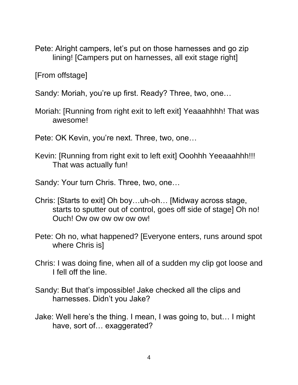Pete: Alright campers, let's put on those harnesses and go zip lining! [Campers put on harnesses, all exit stage right]

[From offstage]

Sandy: Moriah, you're up first. Ready? Three, two, one…

- Moriah: [Running from right exit to left exit] Yeaaahhhh! That was awesome!
- Pete: OK Kevin, you're next. Three, two, one…
- Kevin: [Running from right exit to left exit] Ooohhh Yeeaaahhh!!! That was actually fun!

Sandy: Your turn Chris. Three, two, one…

- Chris: [Starts to exit] Oh boy…uh-oh… [Midway across stage, starts to sputter out of control, goes off side of stage] Oh no! Ouch! Ow ow ow ow ow ow!
- Pete: Oh no, what happened? [Everyone enters, runs around spot where Chris is]
- Chris: I was doing fine, when all of a sudden my clip got loose and I fell off the line.
- Sandy: But that's impossible! Jake checked all the clips and harnesses. Didn't you Jake?
- Jake: Well here's the thing. I mean, I was going to, but… I might have, sort of... exaggerated?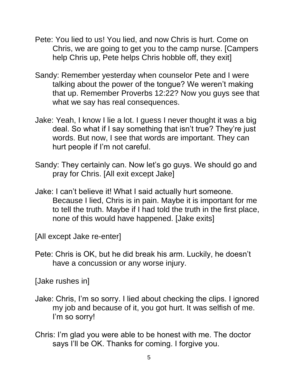- Pete: You lied to us! You lied, and now Chris is hurt. Come on Chris, we are going to get you to the camp nurse. [Campers help Chris up, Pete helps Chris hobble off, they exit]
- Sandy: Remember yesterday when counselor Pete and I were talking about the power of the tongue? We weren't making that up. Remember Proverbs 12:22? Now you guys see that what we say has real consequences.
- Jake: Yeah, I know I lie a lot. I guess I never thought it was a big deal. So what if I say something that isn't true? They're just words. But now, I see that words are important. They can hurt people if I'm not careful.
- Sandy: They certainly can. Now let's go guys. We should go and pray for Chris. [All exit except Jake]
- Jake: I can't believe it! What I said actually hurt someone. Because I lied, Chris is in pain. Maybe it is important for me to tell the truth. Maybe if I had told the truth in the first place, none of this would have happened. [Jake exits]

[All except Jake re-enter]

Pete: Chris is OK, but he did break his arm. Luckily, he doesn't have a concussion or any worse injury.

[Jake rushes in]

- Jake: Chris, I'm so sorry. I lied about checking the clips. I ignored my job and because of it, you got hurt. It was selfish of me. I'm so sorry!
- Chris: I'm glad you were able to be honest with me. The doctor says I'll be OK. Thanks for coming. I forgive you.